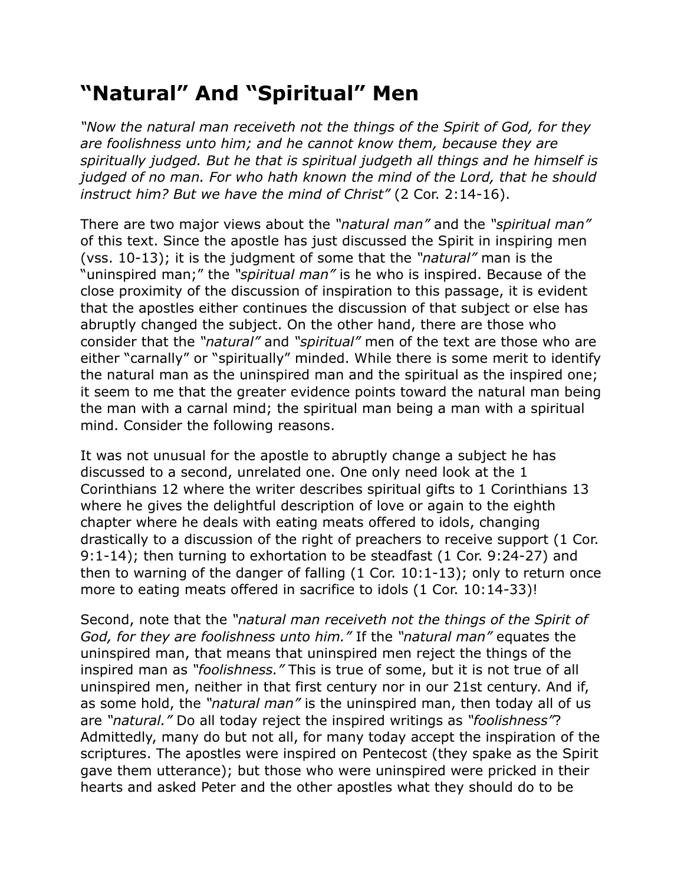## **"Natural" And "Spiritual" Men**

*"Now the natural man receiveth not the things of the Spirit of God, for they are foolishness unto him; and he cannot know them, because they are spiritually judged. But he that is spiritual judgeth all things and he himself is judged of no man. For who hath known the mind of the Lord, that he should instruct him? But we have the mind of Christ"* (2 Cor. 2:14-16).

There are two major views about the *"natural man"* and the *"spiritual man"* of this text. Since the apostle has just discussed the Spirit in inspiring men (vss. 10-13); it is the judgment of some that the *"natural"* man is the "uninspired man;" the *"spiritual man"* is he who is inspired. Because of the close proximity of the discussion of inspiration to this passage, it is evident that the apostles either continues the discussion of that subject or else has abruptly changed the subject. On the other hand, there are those who consider that the *"natural"* and *"spiritual"* men of the text are those who are either "carnally" or "spiritually" minded. While there is some merit to identify the natural man as the uninspired man and the spiritual as the inspired one; it seem to me that the greater evidence points toward the natural man being the man with a carnal mind; the spiritual man being a man with a spiritual mind. Consider the following reasons.

It was not unusual for the apostle to abruptly change a subject he has discussed to a second, unrelated one. One only need look at the 1 Corinthians 12 where the writer describes spiritual gifts to 1 Corinthians 13 where he gives the delightful description of love or again to the eighth chapter where he deals with eating meats offered to idols, changing drastically to a discussion of the right of preachers to receive support (1 Cor. 9:1-14); then turning to exhortation to be steadfast (1 Cor. 9:24-27) and then to warning of the danger of falling (1 Cor. 10:1-13); only to return once more to eating meats offered in sacrifice to idols (1 Cor. 10:14-33)!

Second, note that the *"natural man receiveth not the things of the Spirit of God, for they are foolishness unto him."* If the *"natural man"* equates the uninspired man, that means that uninspired men reject the things of the inspired man as *"foolishness."* This is true of some, but it is not true of all uninspired men, neither in that first century nor in our 21st century. And if, as some hold, the *"natural man"* is the uninspired man, then today all of us are *"natural."* Do all today reject the inspired writings as *"foolishness"*? Admittedly, many do but not all, for many today accept the inspiration of the scriptures. The apostles were inspired on Pentecost (they spake as the Spirit gave them utterance); but those who were uninspired were pricked in their hearts and asked Peter and the other apostles what they should do to be